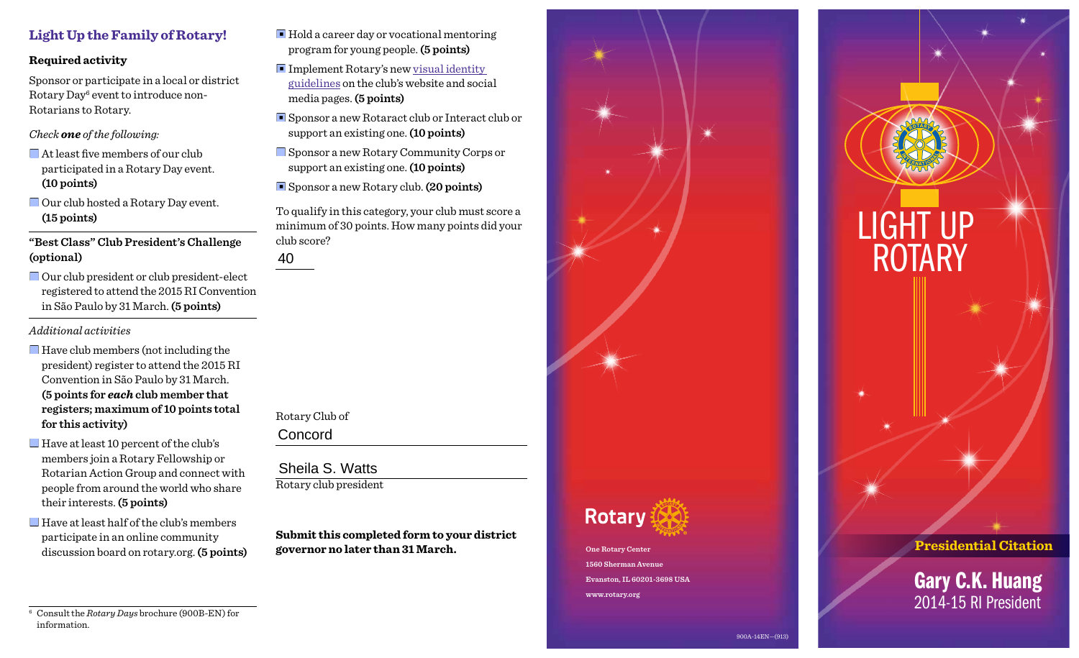### **Required activity**

Sponsor or participate in a local or district Rotary Day<sup>6</sup> event to introduce non-Rotarians to Rotary.

*Check one of the following:*

- $\blacksquare$  At least five members of our club participated in a Rotary Day event. **(10 points)**
- $\Box$  Our club hosted a Rotary Day event. **(15 points)**

**"Best Class" Club President's Challenge (optional)**

■ Our club president or club president-elect registered to attend the 2015 RI Convention in São Paulo by 31 March. **(5 points)**

*Additional activities* 

- Have club members (not including the president) register to attend the 2015 RI Convention in São Paulo by 31 March. **(5 points for** *each* **club member that registers; maximum of 10 points total for this activity)**
- $\Box$  Have at least 10 percent of the club's members join a Rotary Fellowship or Rotarian Action Group and connect with people from around the world who share their interests. **(5 points)**
- $\Box$  Have at least half of the club's members participate in an online community discussion board on rotary.org. **(5 points)**
- Hold a career day or vocational mentoring program for young people. **(5 points)**
- Implement Rotary's new visual identity [guidelines](http://www.rotary.org/myrotary/en/visual-and-voice-guidelines) on the club's website and social media pages. **(5 points)**
- Sponsor a new Rotaract club or Interact club or support an existing one. **(10 points)**
- Sponsor a new Rotary Community Corps or support an existing one. **(10 points)**

■ Sponsor a new Rotary club. (20 points)

To qualify in this category, your club must score a minimum of 30 points. How many points did your club score?

Rotary Club of 40<br>Rotary Clul<br>Concord

Rotary club president Sheila S. Watts

**Submit this completed form to your district governor no later than 31 March.**



**Evanston, IL 60201-3698 USA www.rotary.org**



<sup>6</sup> Consult the *Rotary Days* brochure (900B-EN) for information.